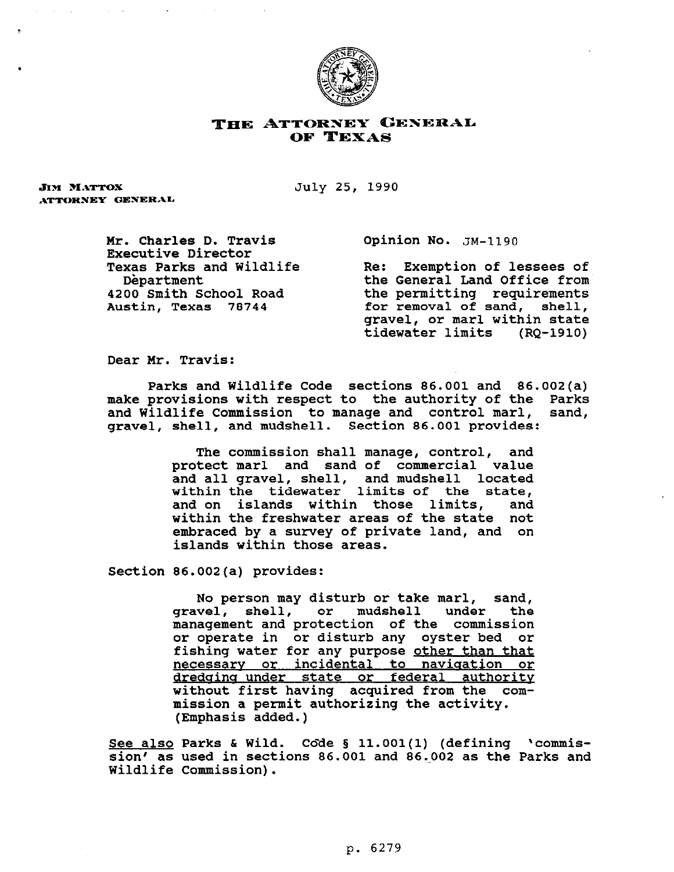

## THE ATTORNEY GENERAL OF TEXAS

**JIM MATTOX** ATTORNEY GENERAL July 25, 1990

**Mr. Charles D. Travis Executive Director Texas Parks and Wildlife Department 4200 Smith School Road Austin, Texas 78744** 

**Opinion No. JR-1190** 

**Re: Exemption of lessees of the General band Office from the permitting requirements for removal of sand, shell, gravel, or marl within state tidewater limits (RQ-1910)** 

**Dear Mr. Travis:** 

**Parks and Wildlife Code sections 86.001 and 86.002(a) make provisions with respect to the authority of the Parks**  and Wildlife Commission to manage and control marl, **gravel, shell, and mudshell. Section 86.001 provides:** 

> **The commission shall manage, control, and protect marl and sand of commercial value and all gravel, shell, and mudshell located within the tidewater limits of the state, and on islands within those limits, and within the freshwater areas of the state not embraced by a survey of private land, and on islands within those areas.**

**Section 86.002(a) provides:** 

**No person may disturb or take marl, sand, gravel, shell, or mudshell under the management and protection of the commission or operate in or disturb any oyster bed or fishing water for any purpose other than that necessarv or incidental to naviaation or dredaina under state or federal authority without first having acquired from the commission a permit authorizing the activity. (Emphasis added.)** 

See also Parks & Wild. Code § 11.001(1) (defining 'commis**sion' as used in sections 86.001 and 86,.002 as the Parks and Wildlife Commission).**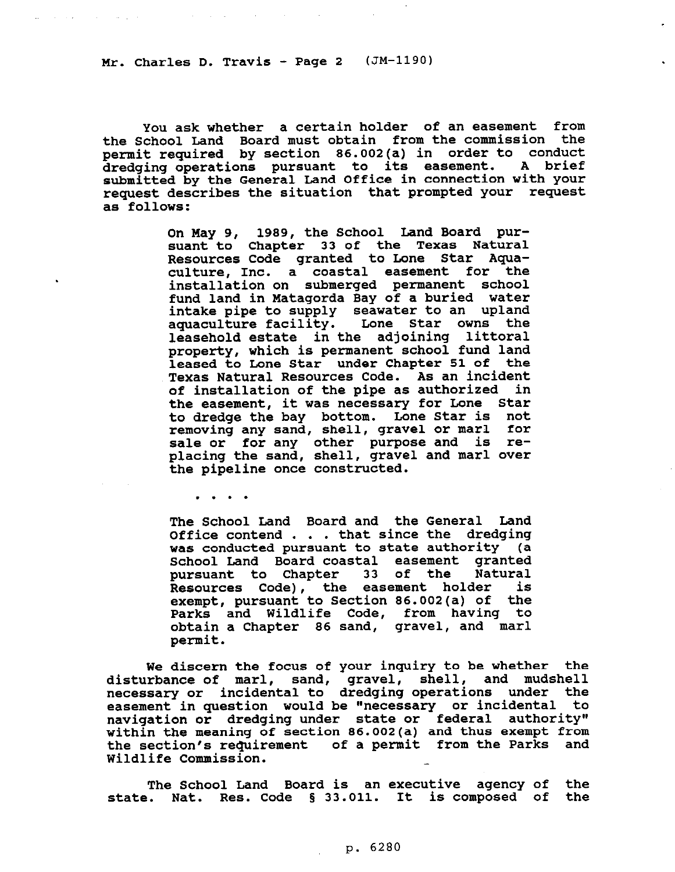and the company of the

**. . . .** 

**You ask whether a certain holder of an easement from the School Land Board must obtain from the commission the**  permit required by section 86.002(a) in order to conduct **dredging operations pursuant . A brief submitted by the General Land Office in connection with your request describes the situation that prompted your request as follows:** 

> **On May 9, 1989, the School Land Board pursuant to Chapter 33 of the Texas Natural Resources Code granted to Done Star Aguaculture, Inc. a coastal easement for the installation on submerged permanent school fund land in Matagorda Bay of a buried water**  intake pipe to supply seawater to an upland **aguaculture facility. Lone Star owns leasehold estate in the adjoining littoral property, which is permanent school fund land**  leased to Lone Star under Chapter 51 of the **Texas Natural Resources Code. As an incident of installation of the pipe as authorized in the easement, it was necessary for Done Star to dredge the bay bottom. Lone Star is not removing any sand, shell, gravel or marl for sale or for any other purpose and is replacing the sand, shell, gravel and marl over the pipeline once constructed.**

> **The School Land Board and the General Land Office contend . . . that since the dredging was conducted pursuant to state authority (a School Land Board coastal easement granted pursuant to Chapter 33 of the Natural Resources Code), the easement holder is exempt, pursuant to Section 86.002(a) of the Parks and Wildlife Code, from having to obtain a Chapter 86 sand, gravel, and marl permit.**

**We discern the focus of your inquiry to be whether the disturbance of marl, sand, gravel, shell, and mudshell necessary or incidental to dredging operations under the**  easement in question would be "necessary or incidental to **navigation or dredging under state or federal authority" within the meaning of section 86.002(a) and thus exempt from**  the section's requirement of a permit from the Parks and **Wildlife Commission.** 

**The School Land Board is an executive agency of the**  state. Nat. Res. Code § 33.011. It is composed of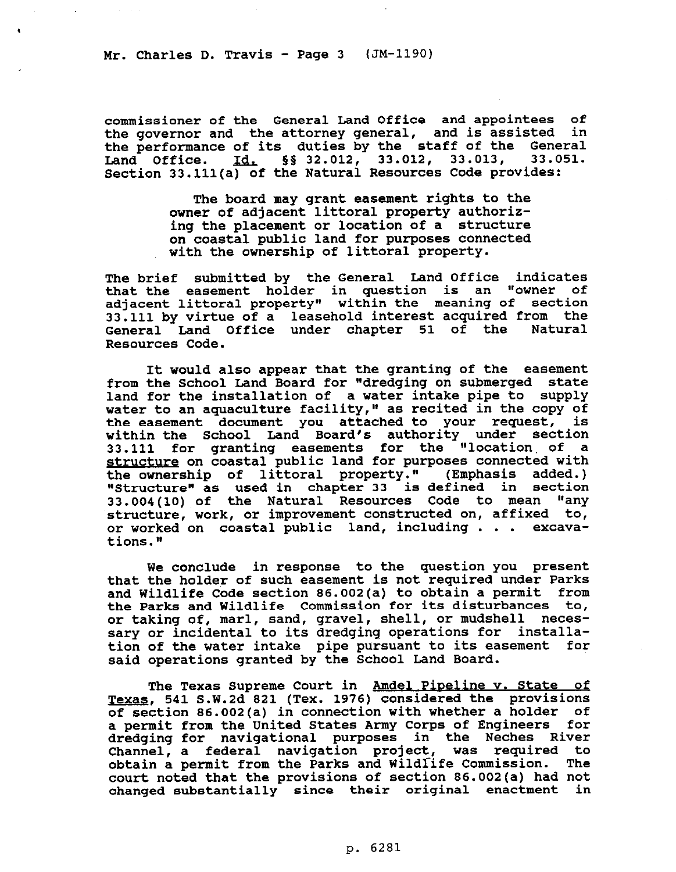**commissioner of the General Land Office and appointees of the governor and the attorney general, and is assisted in the performance of its duties by the staff of the General**  Land Office. 1d. §§ 32.012, 33.012, 33.013, **Section 33.111(a) of the Natural Resources Code provides:** 

> **The board may grant easement rights to the owner of adjacent littoral property authorizing the placement or location of a structure on coastal public land for purposes connected with the ownership of littoral property.**

**The brief submitted by the General Land Office indicates that the easement holder in question is an "owner of adjacent littoral property" within the meaning of section 33.111 by virtue of a leasehold interest acquired from the General Land Office under chapter 51 of the Natural Resources Code.** 

**It would also appear that the granting of the easement from the School Land Board for "dredging on submerged state land for the installation of a water intake pipe to supply water to an aguaculture facility," as recited in the copy of the easement document you attached to your request, is within the School Land Board's authority under section 33.111 for granting easements for the "location of a a structure on coastal public land for purposes connected with the ownership of littoral property." (Emphasis added.) "Structure" as used in chapter 33 is defined in section 33.004(10) of the Natural Resources Code to mean "any structure, work, or improvement constructed on, affixed to, or worked on coastal public land, including . . . excavations.n** 

**We conclude in response to the question you present that the holder of such easement is not required under Parks and Wildlife Code section 86.002(a) to obtain a permit from the Parks and Wildlife Commission for its disturbances to, or taking of, marl, sand, gravel, shell, or mudshell necessary or incidental to its dredging operations for installation of the water intake pipe pursuant to its easement for said operations granted by the School Land Board.** 

**The Texas Supreme Court in Amdel Piveline v. State of**  Texas, 541 S.W.2d 821 (Tex. 1976) considered the provisions **of section 86.002(a) in connection with whether a holder of a permit from the United States Army Corps of Engineers for dredging for navigational purposes in the Neches River Channel, a federal navigation project, was required to obtain a permit from the Parks and Wildlife Commission. The court noted that the provisions of section 86.002(a) had not changed substantially since their original enactment in**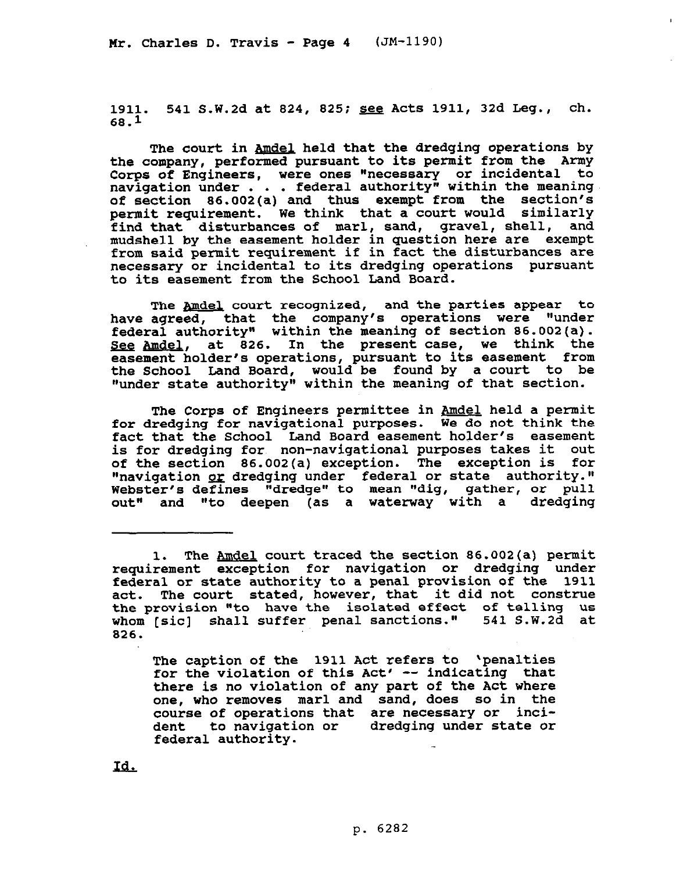**1911. 541 S.W.Zd at 824, 825; see Acts 1911, 32d Deg., ch. 68.1** 

 $\mathbf{L}$ 

The court in Amdel held that the dredging operations by **the company, performed pursuant to its permit from the Army**  Corps of Engineers, were ones "necessary or incidental to **navigation under . . . federal authority" within the meaning of section 86.002(a) and thus exempt from the section's permit requirement. We think that a court would similarly**  find that disturbances of marl, sand, gravel, shell, **mudshell by the easement holder in question here are exempt from said permit requirement if in fact the disturbances are necessary or incidental to its dredging operations pursuant to its easement from the School Land Board.** 

The Amdel court recognized, and the parties appear to **have agreed, that the company's operations were "under federal authority" within the meaning of section 86.002(a).**  See Amdel, at 826. In the present case, we think the **easement holder's operations, pursuant to its easement from the School Land Board, would be found by a court to be "under state authority" within the meaning of that section.** 

**The Corps of Engineers permittee in &ndeL held a permit for dredging for navigational purposes. We do not think the fact that the School Land Board easement holder's easement is for dredging fore non-navigational purposes takes it out of the section 86.002(a) exception. The exception is for "navigation pi dredging under federal or state authority." Webster's defines "dredge" to mean "dig, gather, or pull out" and "to deepen (as a waterway with a dredging** 

**The caption of the 1911 Act refers to 'penalties for the violation of this Act' -- indicating that there is no violation of any part of the Act where one, who removes marl and sand, does so in the course of operations that are necessary or incident to navigation or dredging under state or federal authority.** 

Id.

**<sup>1.</sup> The Amdel court traced the section 86.002(a) permit requirement exception for navigation or dredging under federal or state authority to a penal provision of the 1911 act. The court stated, however, that it did not construe the provision "to have the isolated effect of telling us whom [sic] shall suffer penal sanctions." 541 S.W.2d at 826.**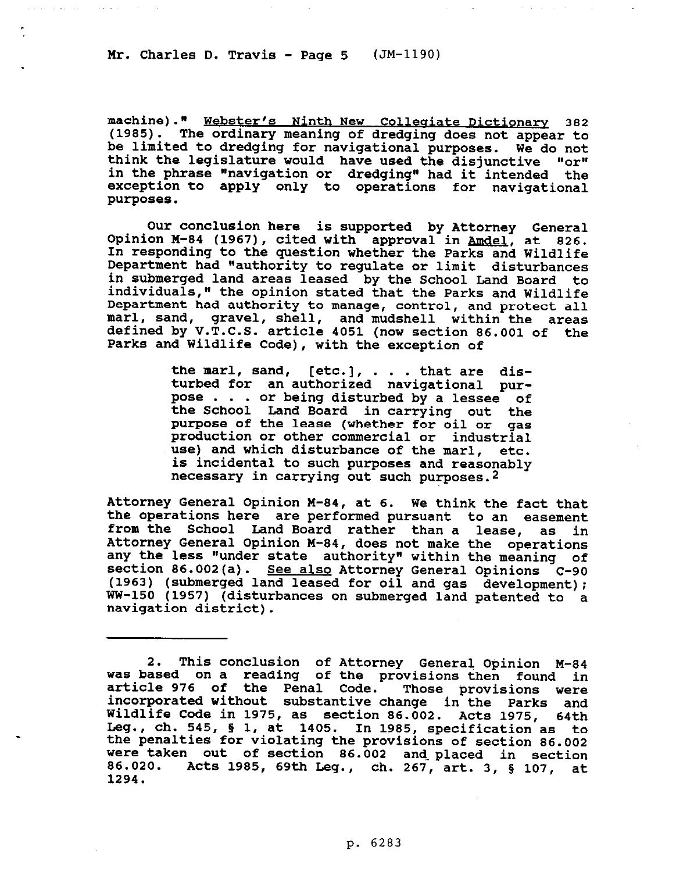and a series and an experience

**machine)." Webster's Ninth New Colleaiate Dictionary 382 (1985). The ordinary meaning of dredging does not appear to be limited to dredging for navigational purposes. We do not**  think the legislature would have used the disjunctive "or" **in the phrase "navigation or dredging" had it intended the exception to apply only to operations for navigational purposes.** 

**Our conclusion here is supported by Attorney General**  Opinion M-84 (1967), cited with approval in Amdel, at 826. **In responding to the question whether the Parks and Wildlife Department had "authority to regulate or limit disturbances in submerged land areas leased by the School Land Board to individuals," the opinion stated that the Parks and Wildlife Department had authority to manage, control, and protect all marl, sand, gravel, shell, and mudshell within the areas defined by V.T.C.S. article 4051 (now section 86.001 of the Parks and Wildlife Code), with the exception of** 

> **the marl, sand, [etc.], . . . that are disturbed for an authorized navigational purpose . , . or being disturbed by a lessee of the School Land Board in carrying out the purpose of the lease (whether for oil or**  production or other commercial or industrial **use) and which disturbance of the marl, etc. is incidental to such purposes and reasonably necessary in carrying out such purposes.2**

**Attorney General Opinion M-84, at 6. We think the fact that the operations here are performed pursuant to an easement from the School Land Board rather than a lease, as in Attorney General Opinion M-84, does not make the operations any the less "under state authority" within the meaning of section 86.002(a). See also Attorney General Opinions c-90 (1963) (submerged land leased for oil and gas development); WW-150 (1957) (disturbances on submerged land patented to a navigation district).** 

**<sup>2.</sup> This conclusion of Attorney General Opinion M-84 was based on a reading of the provisions then found in article 976 of the Penal Code. Those provisions were incorporated without substantive change in the Parks and Wildlife Code in 1975, as section 86.002. Acts 1975, 64th Leg., ch. 545, 5 1, at 1405. In 1985, specification as to the penalties for violating the provisions of section 86.002 were taken out of section 86.002 and-placed in section 86.020. Acts 1985, 69th Deg., ch. 267, art. 3, § 107, at 1294.**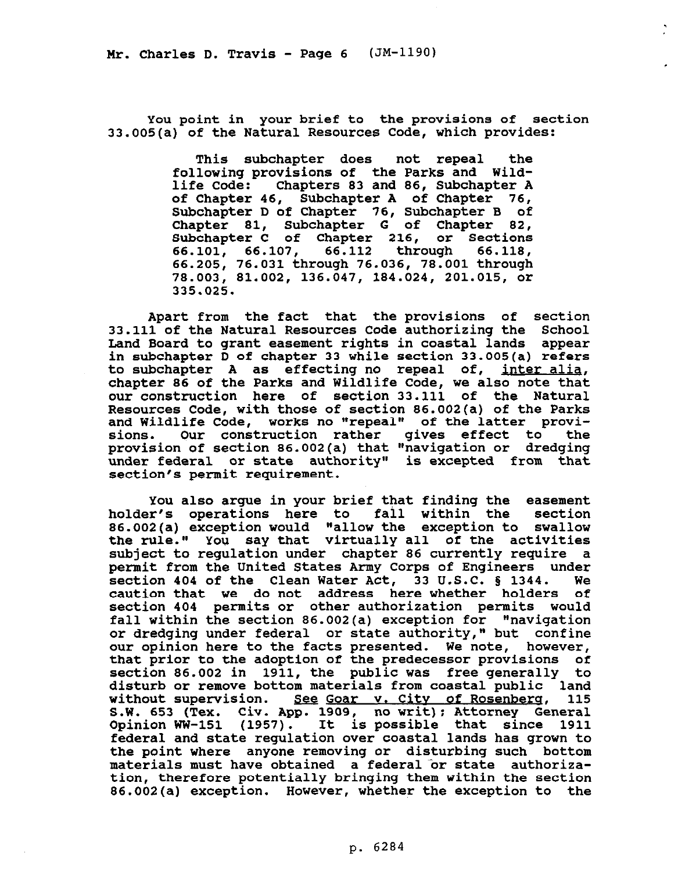**You point in your brief to the provisions of section 33.005(a) of the Natural Resources Code, which provides:** 

> **This subchapter does not repeal the following provisions of the Parks and Wildlife Code: Chapters 83 and 86, Subchapter A of Chapter 46, Subchapter A of Chapter 76, Subchapter D of Chapter 76, Subchapter B of Chapter 81, Subchapter G of Chapter 82, Subchapter C of Chapter 216, or Sections 66.101, 66.107, 66.112 through 66.118, 66.205, 76.031 through 76.036, 78.001 through 78.003, 81.002, 136.047, 184.024, 201.015, or 335.025.**

**Apart from the fact that the provisions of section 33.111 of the Natural Resources Code authorizing the School Land Board to grant easement rights in coastal lands appear in subchapter D of chapter 33 while section 33.005(a) refers to subchapter A as effecting no repeal of, inter aliq chapter 86 of the Parks and Wildlife Code, we also note tha; our construction here of section 33.111 of the Natural Resources Code, with those of section 86.002(a) of the Parks**  and Wildlife Code, works no "repeal" of the latter provi**sions. Our construction rather gives effect to the provision of section 86.002(a) that "navigation or dredging under federal or state authority" is excepted from that section's permit requirement.** 

**You also argue in your brief that finding the easement holder's operations here to fall within the section 86.002(a) exception would "allow the exception to swallow the rule." You say that virtually all of the activities subject to regulation under chapter 86 currently require a permit from the United States Army Corps of Engineers under**  section 404 of the Clean Water Act, 33 U.S.C. § 1344. **caution that we do not address here whether holders of section 404 permits or other authorization permits would**  fall within the section 86.002(a) exception for "navigation **or dredging under federal or state authority," but confine our opinion here to the facts presented. We note, however, that prior to the adoption of the predecessor provisions of section 86.002 in 1911, the public was free generally to disturb or remove bottom materials from coastal public land**  without supervision. See Goar v. City of Rosenberg, 115 S.W. 653 (Tex. Civ. App. 1909, no writ); Attorney General **Opinion WW-151 (1957). It is possible that since 1911 federal and state regulation over coastal lands has grown to the point where anyone removing or disturbing such bottom**  materials must have obtained a federal or state authoriza**tion, therefore potentially bringing them within the section 86.002(a) exception. However, whether the exception to the**